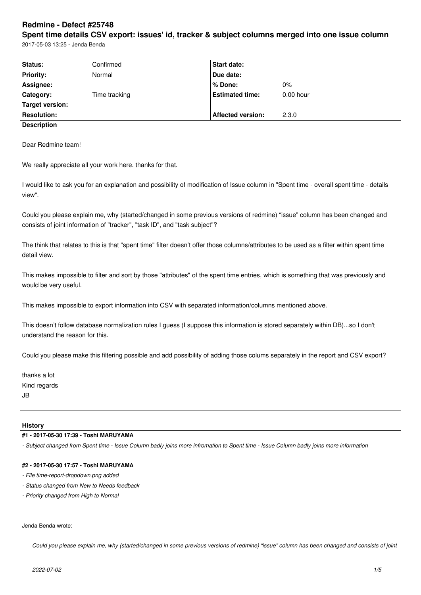# **Redmine - Defect #25748**

**Spent time details CSV export: issues' id, tracker & subject columns merged into one issue column** 2017-05-03 13:25 - Jenda Benda

|                                                                                                                                                                                                           | Confirmed     |                          |             |  |  |  |
|-----------------------------------------------------------------------------------------------------------------------------------------------------------------------------------------------------------|---------------|--------------------------|-------------|--|--|--|
| Status:<br>Priority:                                                                                                                                                                                      | Normal        | <b>Start date:</b>       |             |  |  |  |
| Assignee:                                                                                                                                                                                                 |               | Due date:<br>% Done:     | 0%          |  |  |  |
| Category:                                                                                                                                                                                                 | Time tracking | <b>Estimated time:</b>   | $0.00$ hour |  |  |  |
| <b>Target version:</b>                                                                                                                                                                                    |               |                          |             |  |  |  |
| <b>Resolution:</b>                                                                                                                                                                                        |               | <b>Affected version:</b> | 2.3.0       |  |  |  |
| <b>Description</b>                                                                                                                                                                                        |               |                          |             |  |  |  |
|                                                                                                                                                                                                           |               |                          |             |  |  |  |
| Dear Redmine team!                                                                                                                                                                                        |               |                          |             |  |  |  |
| We really appreciate all your work here. thanks for that.                                                                                                                                                 |               |                          |             |  |  |  |
| I would like to ask you for an explanation and possibility of modification of Issue column in "Spent time - overall spent time - details<br>view".                                                        |               |                          |             |  |  |  |
| Could you please explain me, why (started/changed in some previous versions of redmine) "issue" column has been changed and<br>consists of joint information of "tracker", "task ID", and "task subject"? |               |                          |             |  |  |  |
| The think that relates to this is that "spent time" filter doesn't offer those columns/attributes to be used as a filter within spent time<br>detail view.                                                |               |                          |             |  |  |  |
| This makes impossible to filter and sort by those "attributes" of the spent time entries, which is something that was previously and<br>would be very useful.                                             |               |                          |             |  |  |  |
| This makes impossible to export information into CSV with separated information/columns mentioned above.                                                                                                  |               |                          |             |  |  |  |
| This doesn't follow database normalization rules I guess (I suppose this information is stored separately within DB)so I don't<br>understand the reason for this.                                         |               |                          |             |  |  |  |
| Could you please make this filtering possible and add possibility of adding those colums separately in the report and CSV export?                                                                         |               |                          |             |  |  |  |
| thanks a lot                                                                                                                                                                                              |               |                          |             |  |  |  |
| Kind regards                                                                                                                                                                                              |               |                          |             |  |  |  |
| JB                                                                                                                                                                                                        |               |                          |             |  |  |  |
|                                                                                                                                                                                                           |               |                          |             |  |  |  |
|                                                                                                                                                                                                           |               |                          |             |  |  |  |

### **History**

# **#1 - 2017-05-30 17:39 - Toshi MARUYAMA**

*- Subject changed from Spent time - Issue Column badly joins more infromation to Spent time - Issue Column badly joins more information*

# **#2 - 2017-05-30 17:57 - Toshi MARUYAMA**

- *File time-report-dropdown.png added*
- *Status changed from New to Needs feedback*
- *Priority changed from High to Normal*

## Jenda Benda wrote:

*Could you please explain me, why (started/changed in some previous versions of redmine) "issue" column has been changed and consists of joint*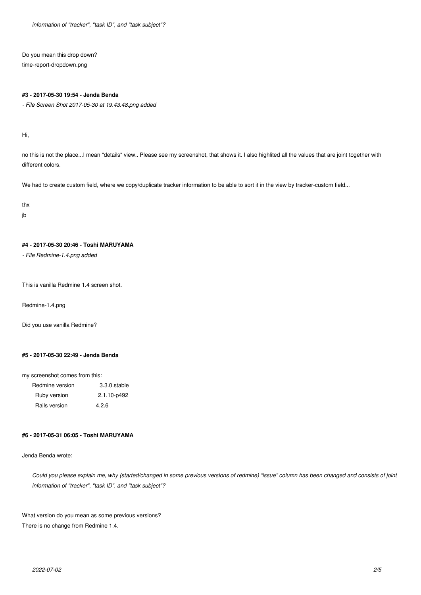*information of "tracker", "task ID", and "task subject"?*

Do you mean this drop down? time-report-dropdown.png

#### **#3 - 2017-05-30 19:54 - Jenda Benda**

*- File Screen Shot 2017-05-30 at 19.43.48.png added*

Hi,

no this is not the place...I mean "details" view.. Please see my screenshot, that shows it. I also highlited all the values that are joint together with different colors.

We had to create custom field, where we copy/duplicate tracker information to be able to sort it in the view by tracker-custom field...

thx

jb

# **#4 - 2017-05-30 20:46 - Toshi MARUYAMA**

*- File Redmine-1.4.png added*

This is vanilla Redmine 1.4 screen shot.

Redmine-1.4.png

Did you use vanilla Redmine?

## **#5 - 2017-05-30 22:49 - Jenda Benda**

my screenshot comes from this:

| Redmine version | $3.3.0$ .stable |  |
|-----------------|-----------------|--|
| Ruby version    | 2.1.10-p492     |  |
| Rails version   | 4.2.6           |  |

#### **#6 - 2017-05-31 06:05 - Toshi MARUYAMA**

Jenda Benda wrote:

*Could you please explain me, why (started/changed in some previous versions of redmine) "issue" column has been changed and consists of joint information of "tracker", "task ID", and "task subject"?*

What version do you mean as some previous versions? There is no change from Redmine 1.4.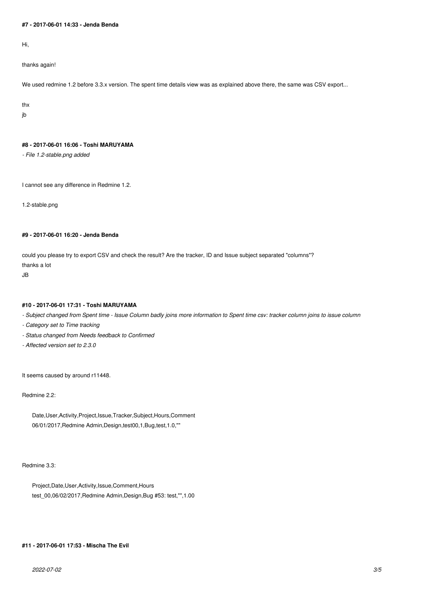## **#7 - 2017-06-01 14:33 - Jenda Benda**

Hi,

thanks again!

We used redmine 1.2 before 3.3.x version. The spent time details view was as explained above there, the same was CSV export...

thx

jb

### **#8 - 2017-06-01 16:06 - Toshi MARUYAMA**

*- File 1.2-stable.png added*

I cannot see any difference in Redmine 1.2.

1.2-stable.png

# **#9 - 2017-06-01 16:20 - Jenda Benda**

could you please try to export CSV and check the result? Are the tracker, ID and Issue subject separated "columns"? thanks a lot

JB

# **#10 - 2017-06-01 17:31 - Toshi MARUYAMA**

*- Subject changed from Spent time - Issue Column badly joins more information to Spent time csv: tracker column joins to issue column*

- *Category set to Time tracking*
- *Status changed from Needs feedback to Confirmed*
- *Affected version set to 2.3.0*

It seems caused by around r11448.

Redmine 2.2:

Date,User,Activity,Project,Issue,Tracker,Subject,Hours,Comment 06/01/2017,Redmine Admin,Design,test00,1,Bug,test,1.0,""

#### Redmine 3.3:

Project,Date,User,Activity,Issue,Comment,Hours test\_00,06/02/2017,Redmine Admin,Design,Bug #53: test,"",1.00

# **#11 - 2017-06-01 17:53 - Mischa The Evil**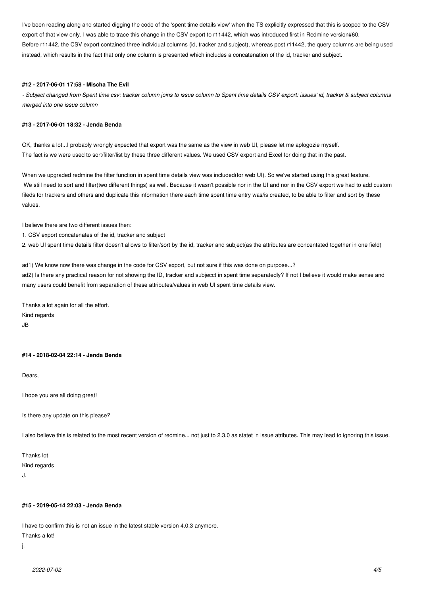I've been reading along and started digging the code of the 'spent time details view' when the TS explicitly expressed that this is scoped to the CSV export of that view only. I was able to trace this change in the CSV export to r11442, which was introduced first in Redmine version#60. Before r11442, the CSV export contained three individual columns (id, tracker and subject), whereas post r11442, the query columns are being used instead, which results in the fact that only one column is presented which includes a concatenation of the id, tracker and subject.

#### **#12 - 2017-06-01 17:58 - Mischa The Evil**

*- Subject changed from Spent time csv: tracker column joins to issue column to Spent time details CSV export: issues' id, tracker & subject columns merged into one issue column*

#### **#13 - 2017-06-01 18:32 - Jenda Benda**

OK, thanks a lot...I probably wrongly expected that export was the same as the view in web UI, please let me aplogozie myself. The fact is we were used to sort/filter/list by these three different values. We used CSV export and Excel for doing that in the past.

When we upgraded redmine the filter function in spent time details view was included(for web UI). So we've started using this great feature. We still need to sort and filter(two different things) as well. Because it wasn't possible nor in the UI and nor in the CSV export we had to add custom fileds for trackers and others and duplicate this information there each time spent time entry was/is created, to be able to filter and sort by these values.

I believe there are two different issues then:

1. CSV export concatenates of the id, tracker and subject

2. web UI spent time details filter doesn't allows to filter/sort by the id, tracker and subject(as the attributes are concentated together in one field)

ad1) We know now there was change in the code for CSV export, but not sure if this was done on purpose...? ad2) Is there any practical reason for not showing the ID, tracker and subjecct in spent time separatedly? If not I believe it would make sense and many users could benefit from separation of these attributes/values in web UI spent time details view.

Thanks a lot again for all the effort. Kind regards JB

## **#14 - 2018-02-04 22:14 - Jenda Benda**

Dears,

I hope you are all doing great!

Is there any update on this please?

I also believe this is related to the most recent version of redmine... not just to 2.3.0 as statet in issue atributes. This may lead to ignoring this issue.

Thanks lot Kind regards

J.

#### **#15 - 2019-05-14 22:03 - Jenda Benda**

I have to confirm this is not an issue in the latest stable version 4.0.3 anymore.

Thanks a lot!

j.